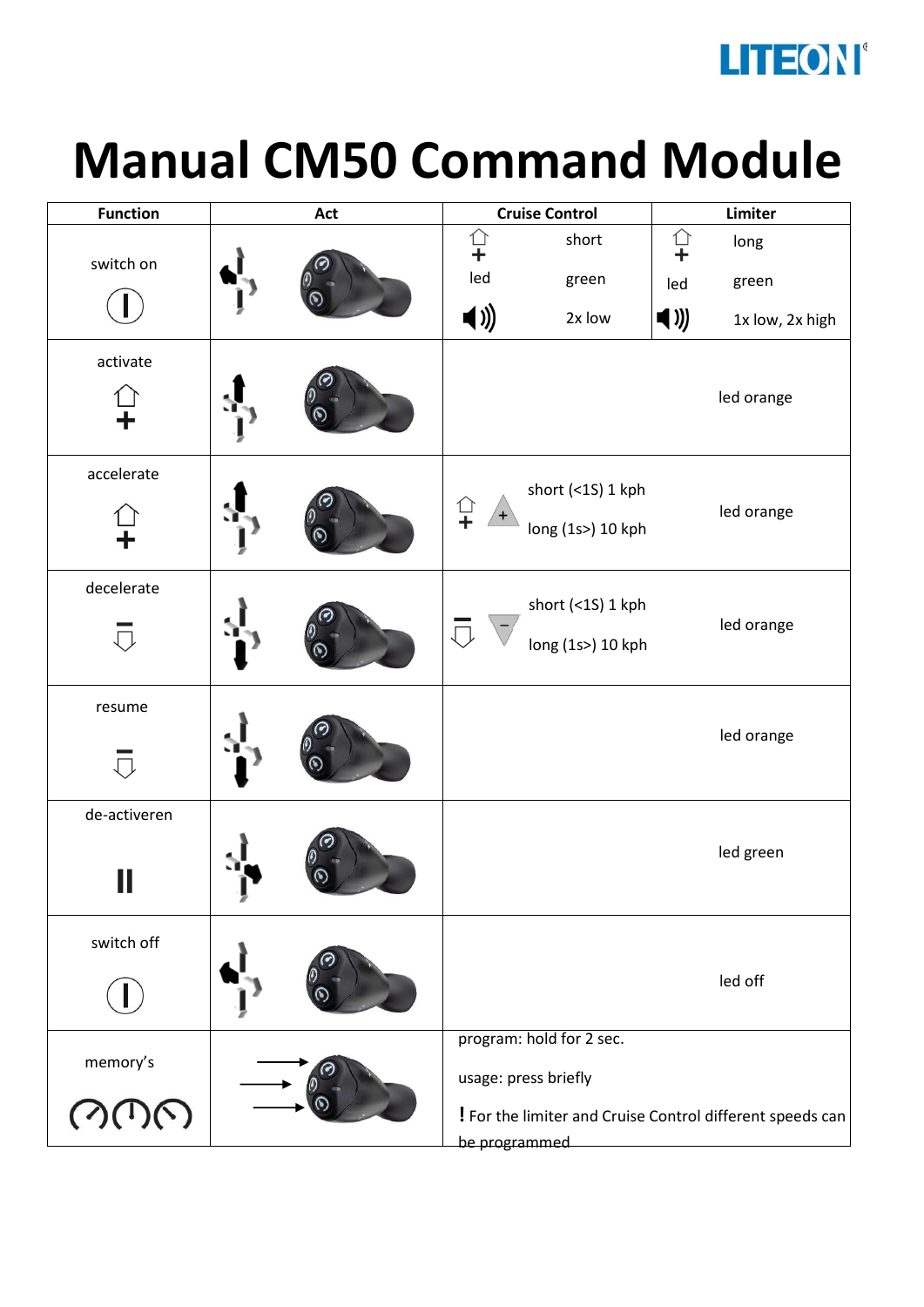

## **Manual CM50 Command Module**

| <b>Function</b> | Act | <b>Cruise Control</b>   |                                        | Limiter                         |                                                           |
|-----------------|-----|-------------------------|----------------------------------------|---------------------------------|-----------------------------------------------------------|
| switch on       |     | <b>○+</b>               | short                                  | $\Omega$                        | long                                                      |
|                 |     | led                     | green                                  | led                             | green                                                     |
|                 |     | $\blacktriangleleft$ )) | 2x low                                 | $\blacktriangleleft \text{ ))}$ | 1x low, 2x high                                           |
| activate        |     |                         |                                        |                                 | led orange                                                |
| accelerate      |     | ←<br>→<br>$+$           | short (<1S) 1 kph<br>long (1s>) 10 kph |                                 | led orange                                                |
| decelerate      |     | $\Box$                  | short (<1S) 1 kph<br>long (1s>) 10 kph |                                 | led orange                                                |
| resume          |     |                         |                                        |                                 | led orange                                                |
| de-activeren    | ₽   |                         |                                        |                                 | led green                                                 |
| switch off      |     |                         |                                        |                                 | led off                                                   |
| memory's        |     |                         | program: hold for 2 sec.               |                                 |                                                           |
|                 |     | usage: press briefly    |                                        |                                 |                                                           |
|                 |     |                         |                                        |                                 | ! For the limiter and Cruise Control different speeds can |
|                 |     | be programmed           |                                        |                                 |                                                           |